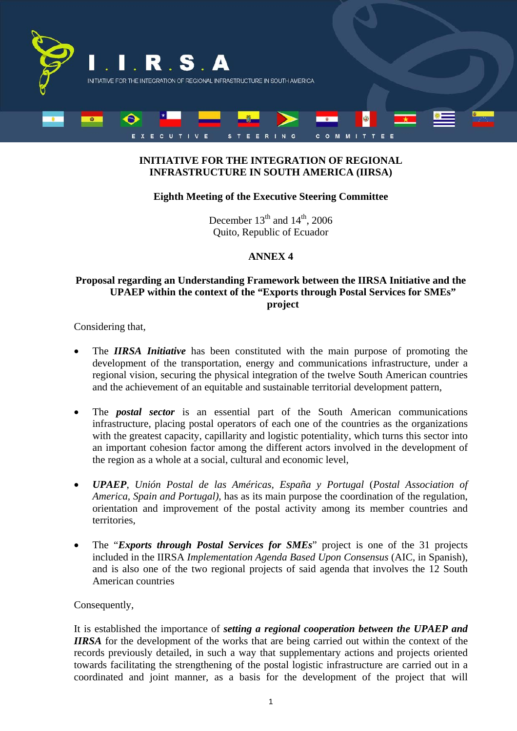

## **INITIATIVE FOR THE INTEGRATION OF REGIONAL INFRASTRUCTURE IN SOUTH AMERICA (IIRSA)**

## **Eighth Meeting of the Executive Steering Committee**

December  $13<sup>th</sup>$  and  $14<sup>th</sup>$ , 2006 Quito, Republic of Ecuador

## **ANNEX 4**

## **Proposal regarding an Understanding Framework between the IIRSA Initiative and the UPAEP within the context of the "Exports through Postal Services for SMEs" project**

Considering that,

- The **IIRSA** Initiative has been constituted with the main purpose of promoting the development of the transportation, energy and communications infrastructure, under a regional vision, securing the physical integration of the twelve South American countries and the achievement of an equitable and sustainable territorial development pattern,
- The *postal sector* is an essential part of the South American communications infrastructure, placing postal operators of each one of the countries as the organizations with the greatest capacity, capillarity and logistic potentiality, which turns this sector into an important cohesion factor among the different actors involved in the development of the region as a whole at a social, cultural and economic level,
- *UPAEP*, *Unión Postal de las Américas, España y Portugal* (*Postal Association of America, Spain and Portugal),* has as its main purpose the coordination of the regulation, orientation and improvement of the postal activity among its member countries and territories,
- The "*Exports through Postal Services for SMEs*" project is one of the 31 projects included in the IIRSA *Implementation Agenda Based Upon Consensus* (AIC, in Spanish), and is also one of the two regional projects of said agenda that involves the 12 South American countries

Consequently,

It is established the importance of *setting a regional cooperation between the UPAEP and IIRSA* for the development of the works that are being carried out within the context of the records previously detailed, in such a way that supplementary actions and projects oriented towards facilitating the strengthening of the postal logistic infrastructure are carried out in a coordinated and joint manner, as a basis for the development of the project that will